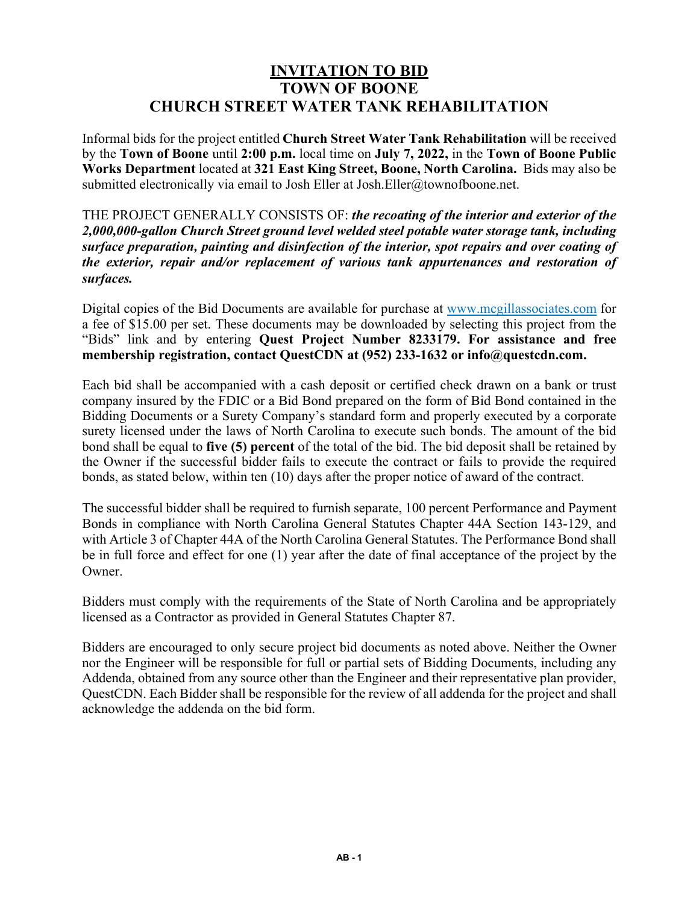## **INVITATION TO BID TOWN OF BOONE CHURCH STREET WATER TANK REHABILITATION**

Informal bids for the project entitled **Church Street Water Tank Rehabilitation** will be received by the **Town of Boone** until **2:00 p.m.** local time on **July 7, 2022,** in the **Town of Boone Public Works Department** located at **321 East King Street, Boone, North Carolina.** Bids may also be submitted electronically via email to Josh Eller at Josh.Eller@townofboone.net.

THE PROJECT GENERALLY CONSISTS OF: *the recoating of the interior and exterior of the 2,000,000-gallon Church Street ground level welded steel potable water storage tank, including surface preparation, painting and disinfection of the interior, spot repairs and over coating of the exterior, repair and/or replacement of various tank appurtenances and restoration of surfaces.* 

Digital copies of the Bid Documents are available for purchase at www.mcgillassociates.com for a fee of \$15.00 per set. These documents may be downloaded by selecting this project from the "Bids" link and by entering **Quest Project Number 8233179. For assistance and free membership registration, contact QuestCDN at (952) 233-1632 or info@questcdn.com.** 

Each bid shall be accompanied with a cash deposit or certified check drawn on a bank or trust company insured by the FDIC or a Bid Bond prepared on the form of Bid Bond contained in the Bidding Documents or a Surety Company's standard form and properly executed by a corporate surety licensed under the laws of North Carolina to execute such bonds. The amount of the bid bond shall be equal to **five (5) percent** of the total of the bid. The bid deposit shall be retained by the Owner if the successful bidder fails to execute the contract or fails to provide the required bonds, as stated below, within ten (10) days after the proper notice of award of the contract.

The successful bidder shall be required to furnish separate, 100 percent Performance and Payment Bonds in compliance with North Carolina General Statutes Chapter 44A Section 143-129, and with Article 3 of Chapter 44A of the North Carolina General Statutes. The Performance Bond shall be in full force and effect for one (1) year after the date of final acceptance of the project by the Owner.

Bidders must comply with the requirements of the State of North Carolina and be appropriately licensed as a Contractor as provided in General Statutes Chapter 87.

Bidders are encouraged to only secure project bid documents as noted above. Neither the Owner nor the Engineer will be responsible for full or partial sets of Bidding Documents, including any Addenda, obtained from any source other than the Engineer and their representative plan provider, QuestCDN. Each Bidder shall be responsible for the review of all addenda for the project and shall acknowledge the addenda on the bid form.